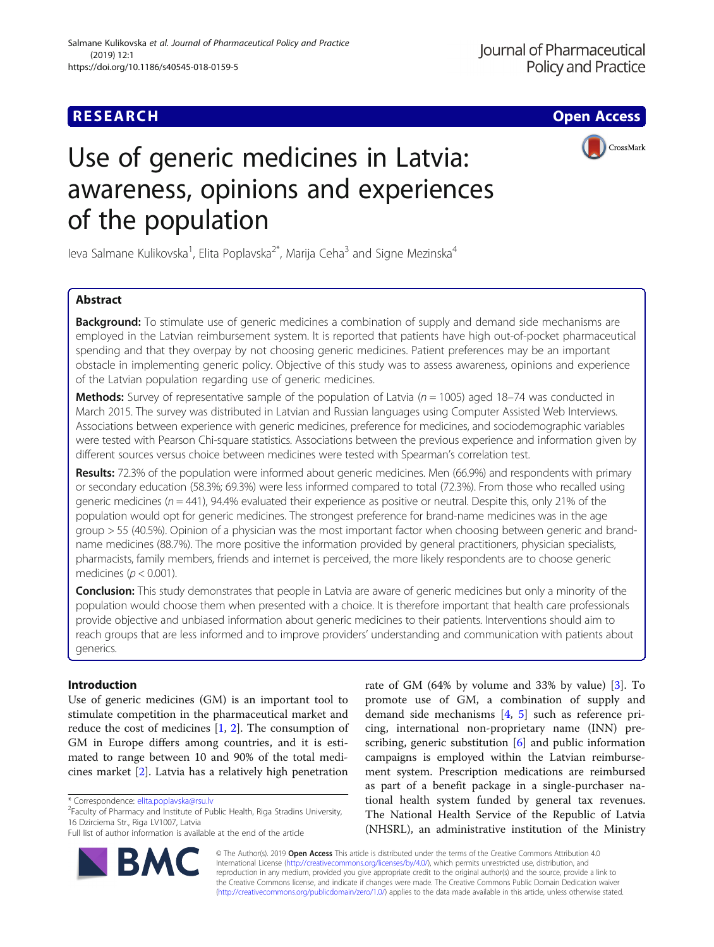CrossMark

# Use of generic medicines in Latvia: awareness, opinions and experiences of the population

leva Salmane Kulikovska<sup>1</sup>, Elita Poplavska<sup>2\*</sup>, Marija Ceha<sup>3</sup> and Signe Mezinska<sup>4</sup>

# Abstract

**Background:** To stimulate use of generic medicines a combination of supply and demand side mechanisms are employed in the Latvian reimbursement system. It is reported that patients have high out-of-pocket pharmaceutical spending and that they overpay by not choosing generic medicines. Patient preferences may be an important obstacle in implementing generic policy. Objective of this study was to assess awareness, opinions and experience of the Latvian population regarding use of generic medicines.

**Methods:** Survey of representative sample of the population of Latvia ( $n = 1005$ ) aged 18–74 was conducted in March 2015. The survey was distributed in Latvian and Russian languages using Computer Assisted Web Interviews. Associations between experience with generic medicines, preference for medicines, and sociodemographic variables were tested with Pearson Chi-square statistics. Associations between the previous experience and information given by different sources versus choice between medicines were tested with Spearman's correlation test.

Results: 72.3% of the population were informed about generic medicines. Men (66.9%) and respondents with primary or secondary education (58.3%; 69.3%) were less informed compared to total (72.3%). From those who recalled using generic medicines ( $n = 441$ ), 94.4% evaluated their experience as positive or neutral. Despite this, only 21% of the population would opt for generic medicines. The strongest preference for brand-name medicines was in the age group > 55 (40.5%). Opinion of a physician was the most important factor when choosing between generic and brandname medicines (88.7%). The more positive the information provided by general practitioners, physician specialists, pharmacists, family members, friends and internet is perceived, the more likely respondents are to choose generic medicines ( $p < 0.001$ ).

Conclusion: This study demonstrates that people in Latvia are aware of generic medicines but only a minority of the population would choose them when presented with a choice. It is therefore important that health care professionals provide objective and unbiased information about generic medicines to their patients. Interventions should aim to reach groups that are less informed and to improve providers' understanding and communication with patients about generics.

# Introduction

Use of generic medicines (GM) is an important tool to stimulate competition in the pharmaceutical market and reduce the cost of medicines [\[1](#page-5-0), [2](#page-5-0)]. The consumption of GM in Europe differs among countries, and it is estimated to range between 10 and 90% of the total medicines market [[2\]](#page-5-0). Latvia has a relatively high penetration

R

Faculty of Pharmacy and Institute of Public Health, Riga Stradins University, 16 Dzirciema Str., Riga LV1007, Latvia



rate of GM (64% by volume and 33% by value) [[3\]](#page-5-0). To

© The Author(s). 2019 Open Access This article is distributed under the terms of the Creative Commons Attribution 4.0 International License [\(http://creativecommons.org/licenses/by/4.0/](http://creativecommons.org/licenses/by/4.0/)), which permits unrestricted use, distribution, and reproduction in any medium, provided you give appropriate credit to the original author(s) and the source, provide a link to the Creative Commons license, and indicate if changes were made. The Creative Commons Public Domain Dedication waiver [\(http://creativecommons.org/publicdomain/zero/1.0/](http://creativecommons.org/publicdomain/zero/1.0/)) applies to the data made available in this article, unless otherwise stated.

<sup>\*</sup> Correspondence: [elita.poplavska@rsu.lv](mailto:elita.poplavska@rsu.lv) <sup>2</sup>

Full list of author information is available at the end of the article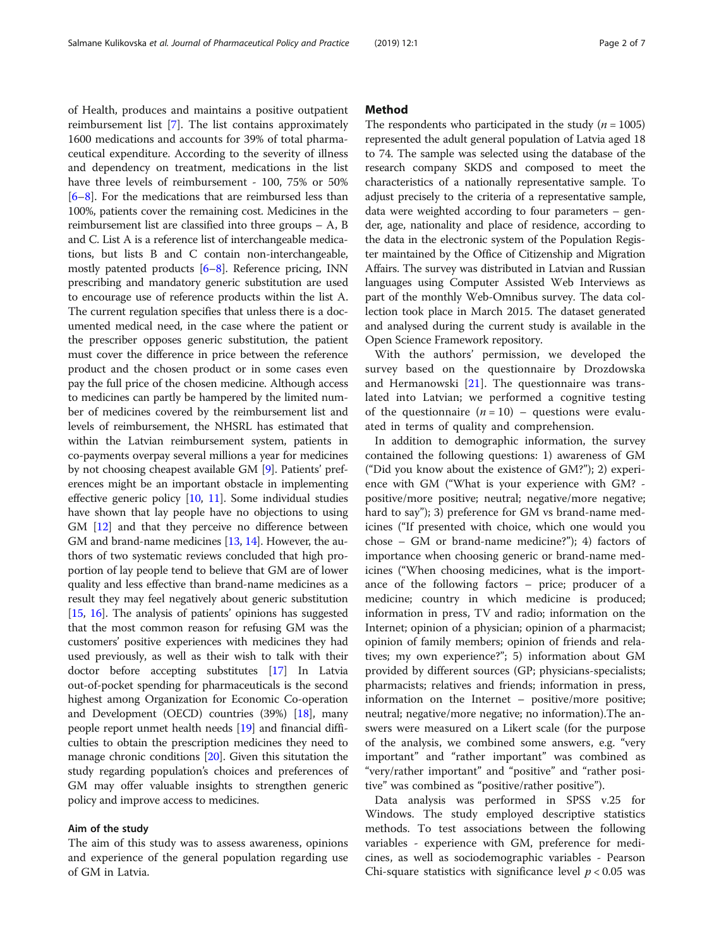of Health, produces and maintains a positive outpatient reimbursement list [[7\]](#page-6-0). The list contains approximately 1600 medications and accounts for 39% of total pharmaceutical expenditure. According to the severity of illness and dependency on treatment, medications in the list have three levels of reimbursement - 100, 75% or 50% [[6](#page-6-0)–[8\]](#page-6-0). For the medications that are reimbursed less than 100%, patients cover the remaining cost. Medicines in the reimbursement list are classified into three groups – A, B and C. List A is a reference list of interchangeable medications, but lists B and C contain non-interchangeable, mostly patented products [\[6](#page-6-0)–[8\]](#page-6-0). Reference pricing, INN prescribing and mandatory generic substitution are used to encourage use of reference products within the list A. The current regulation specifies that unless there is a documented medical need, in the case where the patient or the prescriber opposes generic substitution, the patient must cover the difference in price between the reference product and the chosen product or in some cases even pay the full price of the chosen medicine. Although access to medicines can partly be hampered by the limited number of medicines covered by the reimbursement list and levels of reimbursement, the NHSRL has estimated that within the Latvian reimbursement system, patients in co-payments overpay several millions a year for medicines by not choosing cheapest available GM [\[9](#page-6-0)]. Patients' preferences might be an important obstacle in implementing effective generic policy [[10](#page-6-0), [11](#page-6-0)]. Some individual studies have shown that lay people have no objections to using GM [[12](#page-6-0)] and that they perceive no difference between GM and brand-name medicines [\[13,](#page-6-0) [14](#page-6-0)]. However, the authors of two systematic reviews concluded that high proportion of lay people tend to believe that GM are of lower quality and less effective than brand-name medicines as a result they may feel negatively about generic substitution [[15](#page-6-0), [16\]](#page-6-0). The analysis of patients' opinions has suggested that the most common reason for refusing GM was the customers' positive experiences with medicines they had used previously, as well as their wish to talk with their doctor before accepting substitutes [\[17\]](#page-6-0) In Latvia out-of-pocket spending for pharmaceuticals is the second highest among Organization for Economic Co-operation and Development (OECD) countries (39%) [\[18\]](#page-6-0), many people report unmet health needs [\[19](#page-6-0)] and financial difficulties to obtain the prescription medicines they need to manage chronic conditions [\[20\]](#page-6-0). Given this situtation the study regarding population's choices and preferences of GM may offer valuable insights to strengthen generic policy and improve access to medicines.

## Aim of the study

The aim of this study was to assess awareness, opinions and experience of the general population regarding use of GM in Latvia.

## Method

The respondents who participated in the study ( $n = 1005$ ) represented the adult general population of Latvia aged 18 to 74. The sample was selected using the database of the research company SKDS and composed to meet the characteristics of a nationally representative sample. To adjust precisely to the criteria of a representative sample, data were weighted according to four parameters – gender, age, nationality and place of residence, according to the data in the electronic system of the Population Register maintained by the Office of Citizenship and Migration Affairs. The survey was distributed in Latvian and Russian languages using Computer Assisted Web Interviews as part of the monthly Web-Omnibus survey. The data collection took place in March 2015. The dataset generated and analysed during the current study is available in the Open Science Framework repository.

With the authors' permission, we developed the survey based on the questionnaire by Drozdowska and Hermanowski [[21\]](#page-6-0). The questionnaire was translated into Latvian; we performed a cognitive testing of the questionnaire  $(n = 10)$  – questions were evaluated in terms of quality and comprehension.

In addition to demographic information, the survey contained the following questions: 1) awareness of GM ("Did you know about the existence of GM?"); 2) experience with GM ("What is your experience with GM? positive/more positive; neutral; negative/more negative; hard to say"); 3) preference for GM vs brand-name medicines ("If presented with choice, which one would you chose – GM or brand-name medicine?"); 4) factors of importance when choosing generic or brand-name medicines ("When choosing medicines, what is the importance of the following factors – price; producer of a medicine; country in which medicine is produced; information in press, TV and radio; information on the Internet; opinion of a physician; opinion of a pharmacist; opinion of family members; opinion of friends and relatives; my own experience?"; 5) information about GM provided by different sources (GP; physicians-specialists; pharmacists; relatives and friends; information in press, information on the Internet – positive/more positive; neutral; negative/more negative; no information).The answers were measured on a Likert scale (for the purpose of the analysis, we combined some answers, e.g. "very important" and "rather important" was combined as "very/rather important" and "positive" and "rather positive" was combined as "positive/rather positive").

Data analysis was performed in SPSS v.25 for Windows. The study employed descriptive statistics methods. To test associations between the following variables - experience with GM, preference for medicines, as well as sociodemographic variables - Pearson Chi-square statistics with significance level  $p < 0.05$  was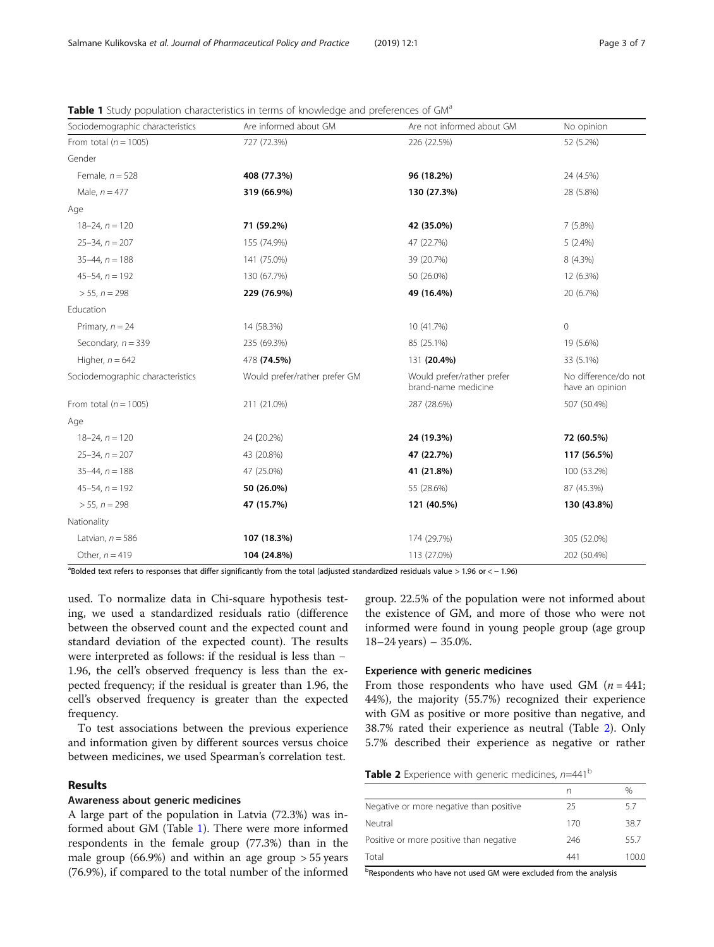| Sociodemographic characteristics | Are informed about GM         | Are not informed about GM                         | No opinion                              |
|----------------------------------|-------------------------------|---------------------------------------------------|-----------------------------------------|
| From total ( $n = 1005$ )        | 727 (72.3%)                   | 226 (22.5%)                                       | 52 (5.2%)                               |
| Gender                           |                               |                                                   |                                         |
| Female, $n = 528$                | 408 (77.3%)                   | 96 (18.2%)                                        | 24 (4.5%)                               |
| Male, $n = 477$                  | 319 (66.9%)                   | 130 (27.3%)                                       | 28 (5.8%)                               |
| Age                              |                               |                                                   |                                         |
| $18 - 24$ , $n = 120$            | 71 (59.2%)                    | 42 (35.0%)                                        | 7(5.8%)                                 |
| $25 - 34$ , $n = 207$            | 155 (74.9%)                   | 47 (22.7%)                                        | $5(2.4\%)$                              |
| $35-44, n = 188$                 | 141 (75.0%)                   | 39 (20.7%)                                        | 8 (4.3%)                                |
| $45 - 54$ , $n = 192$            | 130 (67.7%)                   | 50 (26.0%)                                        | 12 (6.3%)                               |
| $> 55$ , $n = 298$               | 229 (76.9%)                   | 49 (16.4%)                                        | 20 (6.7%)                               |
| Education                        |                               |                                                   |                                         |
| Primary, $n = 24$                | 14 (58.3%)                    | 10 (41.7%)                                        | $\mathbf 0$                             |
| Secondary, $n = 339$             | 235 (69.3%)                   | 85 (25.1%)                                        | 19 (5.6%)                               |
| Higher, $n = 642$                | 478 (74.5%)                   | 131 (20.4%)                                       | 33 (5.1%)                               |
| Sociodemographic characteristics | Would prefer/rather prefer GM | Would prefer/rather prefer<br>brand-name medicine | No difference/do not<br>have an opinion |
| From total ( $n = 1005$ )        | 211 (21.0%)                   | 287 (28.6%)                                       | 507 (50.4%)                             |
| Age                              |                               |                                                   |                                         |
| $18 - 24$ , $n = 120$            | 24 (20.2%)                    | 24 (19.3%)                                        | 72 (60.5%)                              |
| $25 - 34$ , $n = 207$            | 43 (20.8%)                    | 47 (22.7%)                                        | 117 (56.5%)                             |
| $35-44$ , $n = 188$              | 47 (25.0%)                    | 41 (21.8%)                                        | 100 (53.2%)                             |
| $45 - 54$ , $n = 192$            | 50 (26.0%)                    | 55 (28.6%)                                        | 87 (45.3%)                              |
| $> 55$ , $n = 298$               | 47 (15.7%)                    | 121 (40.5%)                                       | 130 (43.8%)                             |
| Nationality                      |                               |                                                   |                                         |
| Latvian, $n = 586$               | 107 (18.3%)                   | 174 (29.7%)                                       | 305 (52.0%)                             |
| Other, $n = 419$                 | 104 (24.8%)                   | 113 (27.0%)                                       | 202 (50.4%)                             |

<span id="page-2-0"></span>**Table 1** Study population characteristics in terms of knowledge and preferences of GM<sup>a</sup>

aBolded text refers to responses that differ significantly from the total (adjusted standardized residuals value > 1.96 or < - 1.96)

used. To normalize data in Chi-square hypothesis testing, we used a standardized residuals ratio (difference between the observed count and the expected count and standard deviation of the expected count). The results were interpreted as follows: if the residual is less than − 1.96, the cell's observed frequency is less than the expected frequency; if the residual is greater than 1.96, the cell's observed frequency is greater than the expected frequency.

To test associations between the previous experience and information given by different sources versus choice between medicines, we used Spearman's correlation test.

## Results

## Awareness about generic medicines

A large part of the population in Latvia (72.3%) was informed about GM (Table 1). There were more informed respondents in the female group (77.3%) than in the male group  $(66.9\%)$  and within an age group  $> 55$  years (76.9%), if compared to the total number of the informed group. 22.5% of the population were not informed about the existence of GM, and more of those who were not informed were found in young people group (age group  $18-24$  years)  $-35.0\%$ .

## Experience with generic medicines

From those respondents who have used GM  $(n = 441)$ ; 44%), the majority (55.7%) recognized their experience with GM as positive or more positive than negative, and 38.7% rated their experience as neutral (Table 2). Only 5.7% described their experience as negative or rather

**Table 2** Experience with generic medicines,  $n=441^b$ 

|                                         | n   | $\frac{0}{0}$ |
|-----------------------------------------|-----|---------------|
| Negative or more negative than positive | 25  | 5.7           |
| Neutral                                 | 170 | 38.7          |
| Positive or more positive than negative | 246 | 55.7          |
| Total                                   | 441 | 100.0         |

bRespondents who have not used GM were excluded from the analysis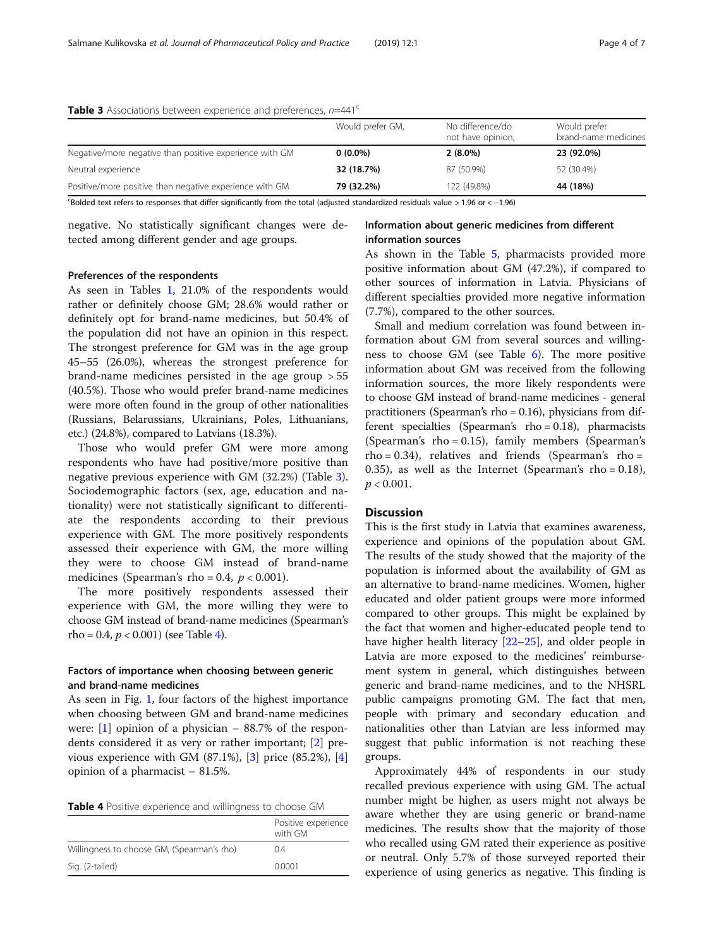|                                                         | Would prefer GM, | No difference/do<br>not have opinion, | Would prefer<br>brand-name medicines |
|---------------------------------------------------------|------------------|---------------------------------------|--------------------------------------|
| Negative/more negative than positive experience with GM | $0(0.0\%)$       | $2(8.0\%)$                            | 23 (92.0%)                           |
| Neutral experience                                      | 32 (18.7%)       | 87 (50.9%)                            | 52 (30.4%)                           |
| Positive/more positive than negative experience with GM | 79 (32.2%)       | 122 (49.8%)                           | 44 (18%)                             |

**Table 3** Associations between experience and preferences,  $n=441^{\circ}$ 

c Bolded text refers to responses that differ significantly from the total (adjusted standardized residuals value > 1.96 or < −1.96)

negative. No statistically significant changes were detected among different gender and age groups.

## Information about generic medicines from different information sources

## Preferences of the respondents

As seen in Tables [1](#page-2-0), 21.0% of the respondents would rather or definitely choose GM; 28.6% would rather or definitely opt for brand-name medicines, but 50.4% of the population did not have an opinion in this respect. The strongest preference for GM was in the age group 45–55 (26.0%), whereas the strongest preference for brand-name medicines persisted in the age group > 55 (40.5%). Those who would prefer brand-name medicines were more often found in the group of other nationalities (Russians, Belarussians, Ukrainians, Poles, Lithuanians, etc.) (24.8%), compared to Latvians (18.3%).

Those who would prefer GM were more among respondents who have had positive/more positive than negative previous experience with GM (32.2%) (Table 3). Sociodemographic factors (sex, age, education and nationality) were not statistically significant to differentiate the respondents according to their previous experience with GM. The more positively respondents assessed their experience with GM, the more willing they were to choose GM instead of brand-name medicines (Spearman's rho = 0.4,  $p < 0.001$ ).

The more positively respondents assessed their experience with GM, the more willing they were to choose GM instead of brand-name medicines (Spearman's rho = 0.4,  $p < 0.001$ ) (see Table 4).

## Factors of importance when choosing between generic and brand-name medicines

As seen in Fig. [1,](#page-4-0) four factors of the highest importance when choosing between GM and brand-name medicines were:  $\begin{bmatrix} 1 \end{bmatrix}$  opinion of a physician – 88.7% of the respondents considered it as very or rather important; [\[2\]](#page-5-0) previous experience with GM  $(87.1\%)$ ,  $[3]$  $[3]$  price  $(85.2\%)$ ,  $[4]$  $[4]$ opinion of a pharmacist – 81.5%.

| Table 4 Positive experience and willingness to choose GM |  |  |  |  |
|----------------------------------------------------------|--|--|--|--|
|----------------------------------------------------------|--|--|--|--|

|                                            | Positive experience<br>with GM |
|--------------------------------------------|--------------------------------|
| Willingness to choose GM, (Spearman's rho) | 0.4                            |
| Sig. (2-tailed)                            | 0.0001                         |

As shown in the Table [5,](#page-4-0) pharmacists provided more positive information about GM (47.2%), if compared to other sources of information in Latvia. Physicians of different specialties provided more negative information (7.7%), compared to the other sources.

Small and medium correlation was found between information about GM from several sources and willingness to choose GM (see Table [6\)](#page-5-0). The more positive information about GM was received from the following information sources, the more likely respondents were to choose GM instead of brand-name medicines - general practitioners (Spearman's rho = 0.16), physicians from different specialties (Spearman's  $rho = 0.18$ ), pharmacists (Spearman's rho = 0.15), family members (Spearman's  $rho = 0.34$ ), relatives and friends (Spearman's rho = 0.35), as well as the Internet (Spearman's rho =  $0.18$ ),  $p < 0.001$ .

## **Discussion**

This is the first study in Latvia that examines awareness, experience and opinions of the population about GM. The results of the study showed that the majority of the population is informed about the availability of GM as an alternative to brand-name medicines. Women, higher educated and older patient groups were more informed compared to other groups. This might be explained by the fact that women and higher-educated people tend to have higher health literacy [[22](#page-6-0)–[25\]](#page-6-0), and older people in Latvia are more exposed to the medicines' reimbursement system in general, which distinguishes between generic and brand-name medicines, and to the NHSRL public campaigns promoting GM. The fact that men, people with primary and secondary education and nationalities other than Latvian are less informed may suggest that public information is not reaching these groups.

Approximately 44% of respondents in our study recalled previous experience with using GM. The actual number might be higher, as users might not always be aware whether they are using generic or brand-name medicines. The results show that the majority of those who recalled using GM rated their experience as positive or neutral. Only 5.7% of those surveyed reported their experience of using generics as negative. This finding is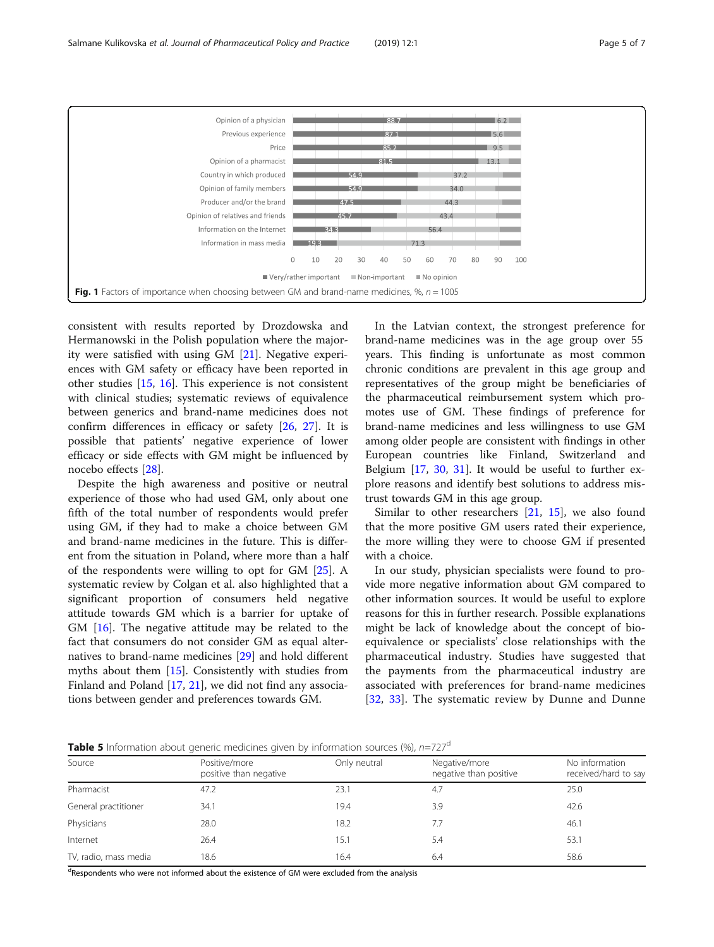<span id="page-4-0"></span>

consistent with results reported by Drozdowska and Hermanowski in the Polish population where the majority were satisfied with using GM [[21\]](#page-6-0). Negative experiences with GM safety or efficacy have been reported in other studies [\[15](#page-6-0), [16](#page-6-0)]. This experience is not consistent with clinical studies; systematic reviews of equivalence between generics and brand-name medicines does not confirm differences in efficacy or safety [[26,](#page-6-0) [27\]](#page-6-0). It is possible that patients' negative experience of lower efficacy or side effects with GM might be influenced by nocebo effects [\[28](#page-6-0)].

Despite the high awareness and positive or neutral experience of those who had used GM, only about one fifth of the total number of respondents would prefer using GM, if they had to make a choice between GM and brand-name medicines in the future. This is different from the situation in Poland, where more than a half of the respondents were willing to opt for GM [\[25](#page-6-0)]. A systematic review by Colgan et al. also highlighted that a significant proportion of consumers held negative attitude towards GM which is a barrier for uptake of GM [[16\]](#page-6-0). The negative attitude may be related to the fact that consumers do not consider GM as equal alternatives to brand-name medicines [\[29\]](#page-6-0) and hold different myths about them [[15\]](#page-6-0). Consistently with studies from Finland and Poland [[17](#page-6-0), [21](#page-6-0)], we did not find any associations between gender and preferences towards GM.

In the Latvian context, the strongest preference for brand-name medicines was in the age group over 55 years. This finding is unfortunate as most common chronic conditions are prevalent in this age group and representatives of the group might be beneficiaries of the pharmaceutical reimbursement system which promotes use of GM. These findings of preference for brand-name medicines and less willingness to use GM among older people are consistent with findings in other European countries like Finland, Switzerland and Belgium [[17,](#page-6-0) [30,](#page-6-0) [31](#page-6-0)]. It would be useful to further explore reasons and identify best solutions to address mistrust towards GM in this age group.

Similar to other researchers [[21](#page-6-0), [15](#page-6-0)], we also found that the more positive GM users rated their experience, the more willing they were to choose GM if presented with a choice.

In our study, physician specialists were found to provide more negative information about GM compared to other information sources. It would be useful to explore reasons for this in further research. Possible explanations might be lack of knowledge about the concept of bioequivalence or specialists' close relationships with the pharmaceutical industry. Studies have suggested that the payments from the pharmaceutical industry are associated with preferences for brand-name medicines [[32](#page-6-0), [33\]](#page-6-0). The systematic review by Dunne and Dunne

**Table 5** Information about generic medicines given by information sources (%),  $n=727^d$ 

| <b>TWERE</b> information about generic meaneries given by imomiation sources $(2)$ , $(1)$ |                                         |              |                                         |                                        |  |  |
|--------------------------------------------------------------------------------------------|-----------------------------------------|--------------|-----------------------------------------|----------------------------------------|--|--|
| Source                                                                                     | Positive/more<br>positive than negative | Only neutral | Negative/more<br>negative than positive | No information<br>received/hard to say |  |  |
| Pharmacist                                                                                 | 47.2                                    | 23.1         | 4.7                                     | 25.0                                   |  |  |
| General practitioner                                                                       | 34.1                                    | 19.4         | 3.9                                     | 42.6                                   |  |  |
| Physicians                                                                                 | 28.0                                    | 18.2         | 7.7                                     | 46.1                                   |  |  |
| Internet                                                                                   | 26.4                                    | 15.1         | 5.4                                     | 53.1                                   |  |  |
| TV, radio, mass media                                                                      | 18.6                                    | 16.4         | 6.4                                     | 58.6                                   |  |  |

<sup>d</sup>Respondents who were not informed about the existence of GM were excluded from the analysis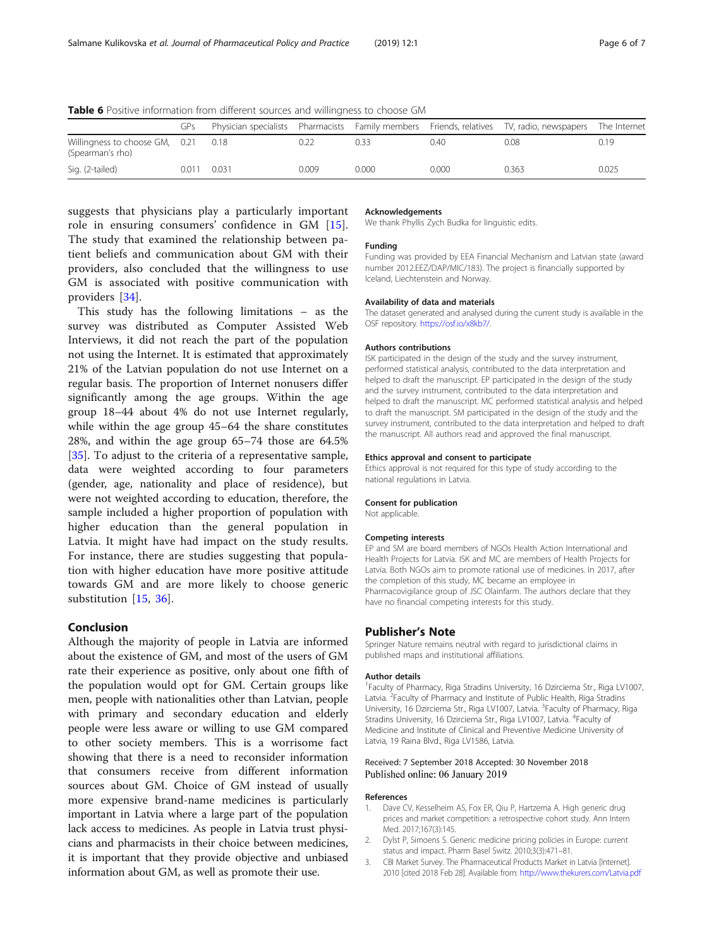<span id="page-5-0"></span>Table 6 Positive information from different sources and willingness to choose GM

|                                                    | GPs   |       |       |       |       | Physician specialists Pharmacists Family members Friends, relatives TV, radio, newspapers The Internet |       |
|----------------------------------------------------|-------|-------|-------|-------|-------|--------------------------------------------------------------------------------------------------------|-------|
| Willingness to choose GM, 0.21<br>(Spearman's rho) |       | 0.18  |       | 0.33  | 0.40  | 0.08                                                                                                   | 0.19  |
| Sig. (2-tailed)                                    | 0.011 | 0.031 | 0.009 | 0.000 | 0.000 | 0.363                                                                                                  | 0.025 |

suggests that physicians play a particularly important role in ensuring consumers' confidence in GM [\[15](#page-6-0)]. The study that examined the relationship between patient beliefs and communication about GM with their providers, also concluded that the willingness to use GM is associated with positive communication with providers [[34\]](#page-6-0).

This study has the following limitations – as the survey was distributed as Computer Assisted Web Interviews, it did not reach the part of the population not using the Internet. It is estimated that approximately 21% of the Latvian population do not use Internet on a regular basis. The proportion of Internet nonusers differ significantly among the age groups. Within the age group 18–44 about 4% do not use Internet regularly, while within the age group 45–64 the share constitutes 28%, and within the age group 65–74 those are 64.5% [[35\]](#page-6-0). To adjust to the criteria of a representative sample, data were weighted according to four parameters (gender, age, nationality and place of residence), but were not weighted according to education, therefore, the sample included a higher proportion of population with higher education than the general population in Latvia. It might have had impact on the study results. For instance, there are studies suggesting that population with higher education have more positive attitude towards GM and are more likely to choose generic substitution [\[15](#page-6-0), [36\]](#page-6-0).

## Conclusion

Although the majority of people in Latvia are informed about the existence of GM, and most of the users of GM rate their experience as positive, only about one fifth of the population would opt for GM. Certain groups like men, people with nationalities other than Latvian, people with primary and secondary education and elderly people were less aware or willing to use GM compared to other society members. This is a worrisome fact showing that there is a need to reconsider information that consumers receive from different information sources about GM. Choice of GM instead of usually more expensive brand-name medicines is particularly important in Latvia where a large part of the population lack access to medicines. As people in Latvia trust physicians and pharmacists in their choice between medicines, it is important that they provide objective and unbiased information about GM, as well as promote their use.

#### Acknowledgements

We thank Phyllis Zych Budka for linguistic edits.

## Funding

Funding was provided by EEA Financial Mechanism and Latvian state (award number 2012.EEZ/DAP/MIC/183). The project is financially supported by Iceland, Liechtenstein and Norway.

#### Availability of data and materials

The dataset generated and analysed during the current study is available in the OSF repository. [https://osf.io/x8kb7/.](https://osf.io/x8kb7/)

#### Authors contributions

ISK participated in the design of the study and the survey instrument, performed statistical analysis, contributed to the data interpretation and helped to draft the manuscript. EP participated in the design of the study and the survey instrument, contributed to the data interpretation and helped to draft the manuscript. MC performed statistical analysis and helped to draft the manuscript. SM participated in the design of the study and the survey instrument, contributed to the data interpretation and helped to draft the manuscript. All authors read and approved the final manuscript.

#### Ethics approval and consent to participate

Ethics approval is not required for this type of study according to the national regulations in Latvia.

#### Consent for publication

Not applicable.

## Competing interests

EP and SM are board members of NGOs Health Action International and Health Projects for Latvia. ISK and MC are members of Health Projects for Latvia. Both NGOs aim to promote rational use of medicines. In 2017, after the completion of this study, MC became an employee in Pharmacovigilance group of JSC Olainfarm. The authors declare that they have no financial competing interests for this study.

#### Publisher's Note

Springer Nature remains neutral with regard to jurisdictional claims in published maps and institutional affiliations.

#### Author details

<sup>1</sup> Faculty of Pharmacy, Riga Stradins University, 16 Dzirciema Str., Riga LV1007 Latvia. <sup>2</sup> Faculty of Pharmacy and Institute of Public Health, Riga Stradins University, 16 Dzirciema Str., Riga LV1007, Latvia. <sup>3</sup> Faculty of Pharmacy, Riga Stradins University, 16 Dzirciema Str., Riga LV1007, Latvia. <sup>4</sup>Faculty of Medicine and Institute of Clinical and Preventive Medicine University of Latvia, 19 Raina Blvd., Riga LV1586, Latvia.

#### Received: 7 September 2018 Accepted: 30 November 2018 Published online: 06 January 2019

#### References

- 1. Dave CV, Kesselheim AS, Fox ER, Qiu P, Hartzema A. High generic drug prices and market competition: a retrospective cohort study. Ann Intern Med. 2017;167(3):145.
- 2. Dylst P, Simoens S. Generic medicine pricing policies in Europe: current status and impact. Pharm Basel Switz. 2010;3(3):471–81.
- 3. CBI Market Survey. The Pharmaceutical Products Market in Latvia [Internet]. 2010 [cited 2018 Feb 28]. Available from: <http://www.thekurers.com/Latvia.pdf>